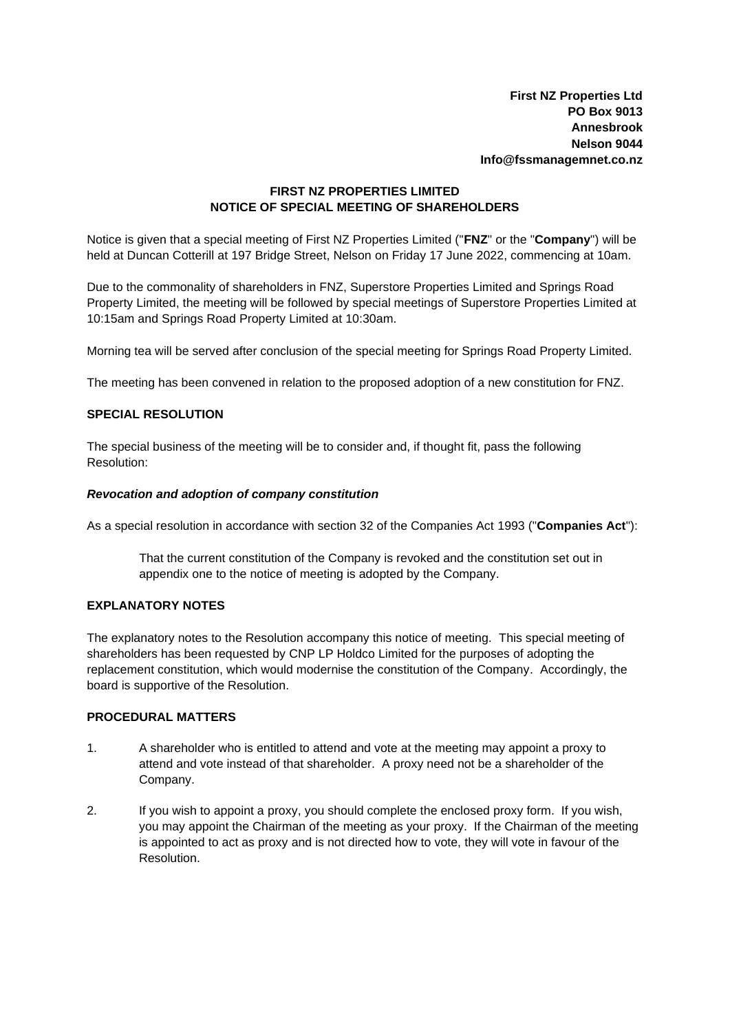# **FIRST NZ PROPERTIES LIMITED NOTICE OF SPECIAL MEETING OF SHAREHOLDERS**

Notice is given that a special meeting of First NZ Properties Limited ("**FNZ**" or the "**Company**") will be held at Duncan Cotterill at 197 Bridge Street, Nelson on Friday 17 June 2022, commencing at 10am.

Due to the commonality of shareholders in FNZ, Superstore Properties Limited and Springs Road Property Limited, the meeting will be followed by special meetings of Superstore Properties Limited at 10:15am and Springs Road Property Limited at 10:30am.

Morning tea will be served after conclusion of the special meeting for Springs Road Property Limited.

The meeting has been convened in relation to the proposed adoption of a new constitution for FNZ.

# **SPECIAL RESOLUTION**

The special business of the meeting will be to consider and, if thought fit, pass the following Resolution:

### *Revocation and adoption of company constitution*

As a special resolution in accordance with section 32 of the Companies Act 1993 ("**Companies Act**"):

That the current constitution of the Company is revoked and the constitution set out in appendix one to the notice of meeting is adopted by the Company.

### **EXPLANATORY NOTES**

The explanatory notes to the Resolution accompany this notice of meeting. This special meeting of shareholders has been requested by CNP LP Holdco Limited for the purposes of adopting the replacement constitution, which would modernise the constitution of the Company. Accordingly, the board is supportive of the Resolution.

# **PROCEDURAL MATTERS**

- 1. A shareholder who is entitled to attend and vote at the meeting may appoint a proxy to attend and vote instead of that shareholder. A proxy need not be a shareholder of the Company.
- 2. If you wish to appoint a proxy, you should complete the enclosed proxy form. If you wish, you may appoint the Chairman of the meeting as your proxy. If the Chairman of the meeting is appointed to act as proxy and is not directed how to vote, they will vote in favour of the Resolution.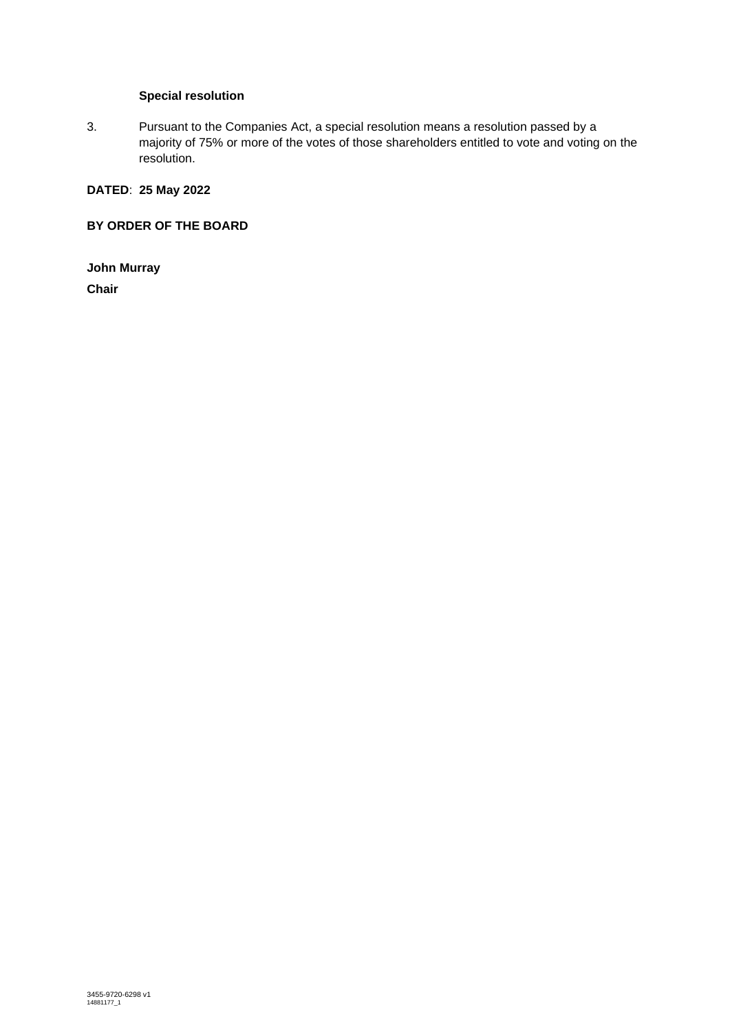# **Special resolution**

3. Pursuant to the Companies Act, a special resolution means a resolution passed by a majority of 75% or more of the votes of those shareholders entitled to vote and voting on the resolution.

# **DATED**: **25 May 2022**

**BY ORDER OF THE BOARD**

**John Murray Chair**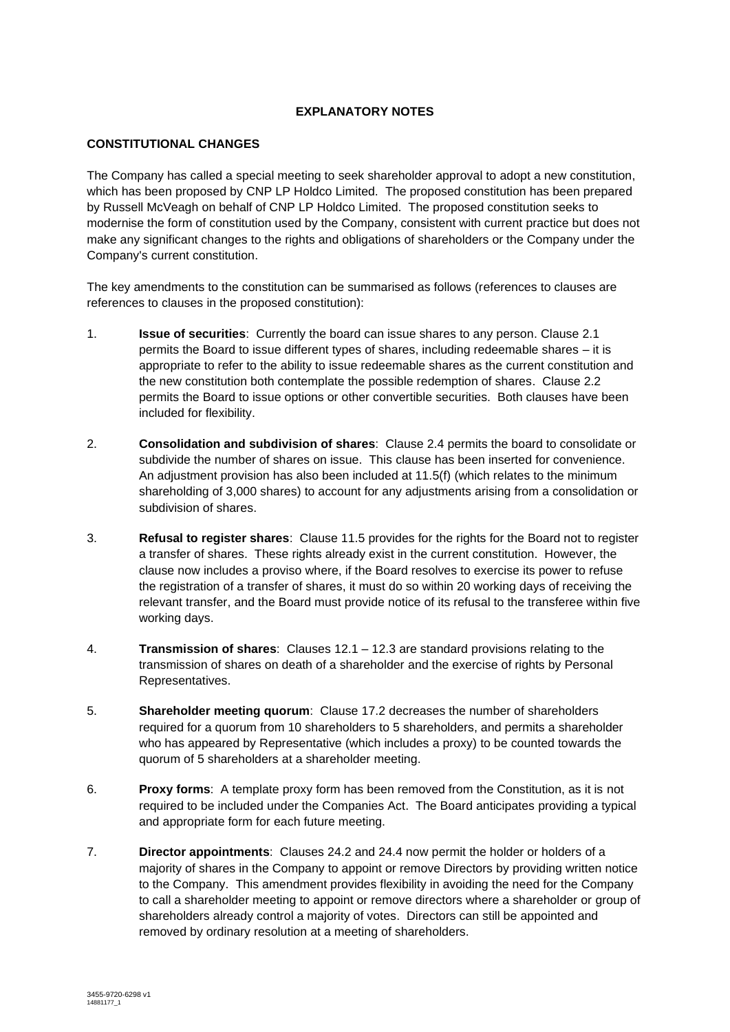## **EXPLANATORY NOTES**

# **CONSTITUTIONAL CHANGES**

The Company has called a special meeting to seek shareholder approval to adopt a new constitution, which has been proposed by CNP LP Holdco Limited. The proposed constitution has been prepared by Russell McVeagh on behalf of CNP LP Holdco Limited. The proposed constitution seeks to modernise the form of constitution used by the Company, consistent with current practice but does not make any significant changes to the rights and obligations of shareholders or the Company under the Company's current constitution.

The key amendments to the constitution can be summarised as follows (references to clauses are references to clauses in the proposed constitution):

- 1. **Issue of securities**: Currently the board can issue shares to any person. Clause 2.1 permits the Board to issue different types of shares, including redeemable shares – it is appropriate to refer to the ability to issue redeemable shares as the current constitution and the new constitution both contemplate the possible redemption of shares. Clause 2.2 permits the Board to issue options or other convertible securities. Both clauses have been included for flexibility.
- 2. **Consolidation and subdivision of shares**: Clause 2.4 permits the board to consolidate or subdivide the number of shares on issue. This clause has been inserted for convenience. An adjustment provision has also been included at 11.5(f) (which relates to the minimum shareholding of 3,000 shares) to account for any adjustments arising from a consolidation or subdivision of shares.
- 3. **Refusal to register shares**: Clause 11.5 provides for the rights for the Board not to register a transfer of shares. These rights already exist in the current constitution. However, the clause now includes a proviso where, if the Board resolves to exercise its power to refuse the registration of a transfer of shares, it must do so within 20 working days of receiving the relevant transfer, and the Board must provide notice of its refusal to the transferee within five working days.
- 4. **Transmission of shares**: Clauses 12.1 12.3 are standard provisions relating to the transmission of shares on death of a shareholder and the exercise of rights by Personal Representatives.
- 5. **Shareholder meeting quorum**: Clause 17.2 decreases the number of shareholders required for a quorum from 10 shareholders to 5 shareholders, and permits a shareholder who has appeared by Representative (which includes a proxy) to be counted towards the quorum of 5 shareholders at a shareholder meeting.
- 6. **Proxy forms**: A template proxy form has been removed from the Constitution, as it is not required to be included under the Companies Act. The Board anticipates providing a typical and appropriate form for each future meeting.
- 7. **Director appointments**: Clauses 24.2 and 24.4 now permit the holder or holders of a majority of shares in the Company to appoint or remove Directors by providing written notice to the Company. This amendment provides flexibility in avoiding the need for the Company to call a shareholder meeting to appoint or remove directors where a shareholder or group of shareholders already control a majority of votes. Directors can still be appointed and removed by ordinary resolution at a meeting of shareholders.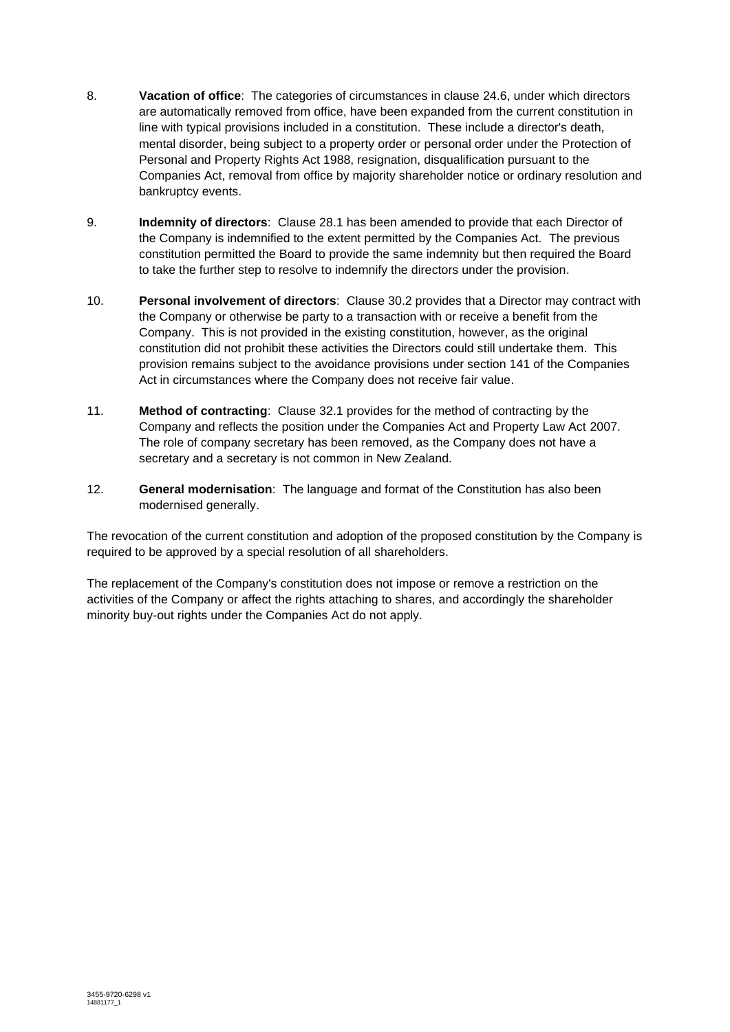- 8. **Vacation of office**: The categories of circumstances in clause 24.6, under which directors are automatically removed from office, have been expanded from the current constitution in line with typical provisions included in a constitution. These include a director's death, mental disorder, being subject to a property order or personal order under the Protection of Personal and Property Rights Act 1988, resignation, disqualification pursuant to the Companies Act, removal from office by majority shareholder notice or ordinary resolution and bankruptcy events.
- 9. **Indemnity of directors**: Clause 28.1 has been amended to provide that each Director of the Company is indemnified to the extent permitted by the Companies Act. The previous constitution permitted the Board to provide the same indemnity but then required the Board to take the further step to resolve to indemnify the directors under the provision.
- 10. **Personal involvement of directors**: Clause 30.2 provides that a Director may contract with the Company or otherwise be party to a transaction with or receive a benefit from the Company. This is not provided in the existing constitution, however, as the original constitution did not prohibit these activities the Directors could still undertake them. This provision remains subject to the avoidance provisions under section 141 of the Companies Act in circumstances where the Company does not receive fair value.
- 11. **Method of contracting**: Clause 32.1 provides for the method of contracting by the Company and reflects the position under the Companies Act and Property Law Act 2007. The role of company secretary has been removed, as the Company does not have a secretary and a secretary is not common in New Zealand.
- 12. **General modernisation**: The language and format of the Constitution has also been modernised generally.

The revocation of the current constitution and adoption of the proposed constitution by the Company is required to be approved by a special resolution of all shareholders.

The replacement of the Company's constitution does not impose or remove a restriction on the activities of the Company or affect the rights attaching to shares, and accordingly the shareholder minority buy-out rights under the Companies Act do not apply.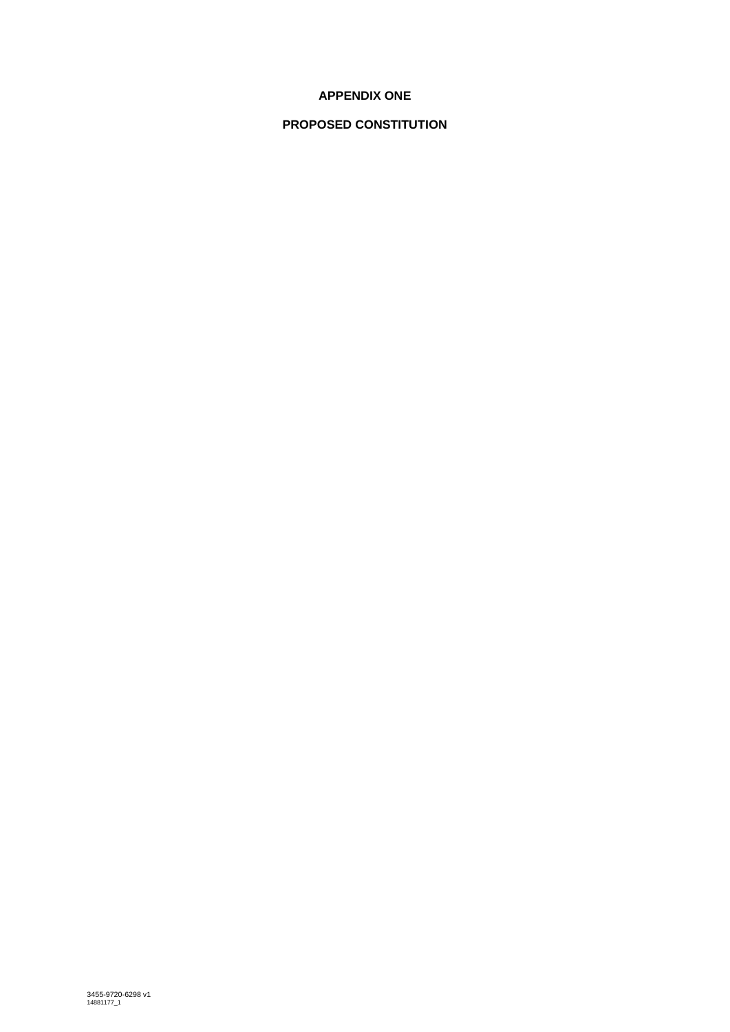# **APPENDIX ONE**

# **PROPOSED CONSTITUTION**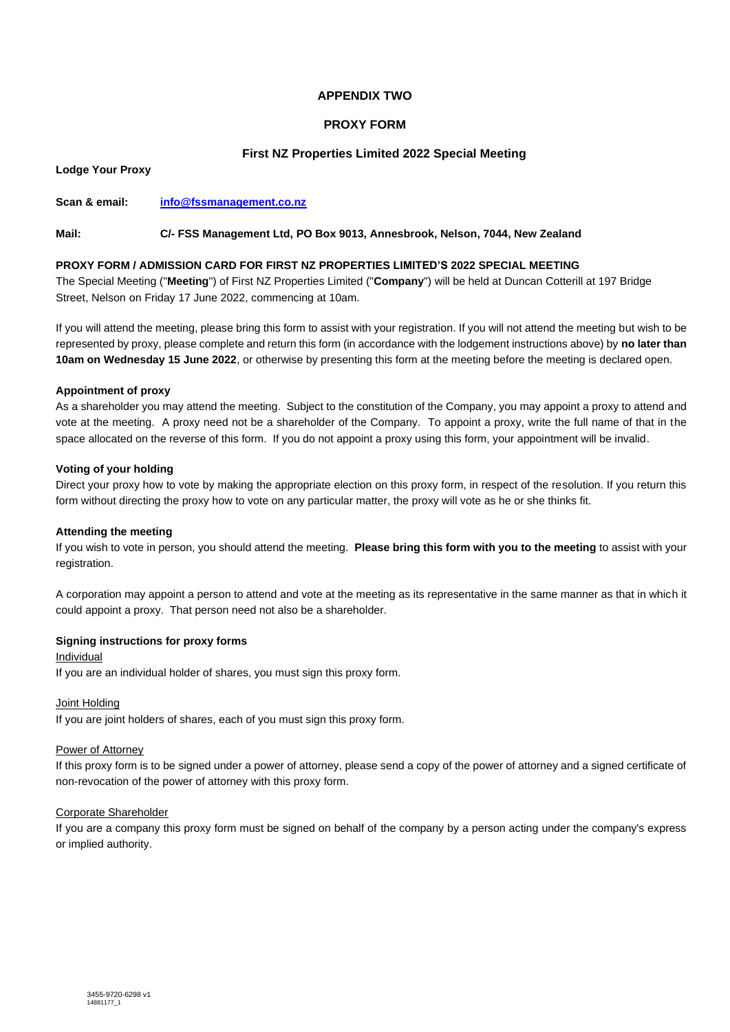## **APPENDIX TWO**

### **PROXY FORM**

### **First NZ Properties Limited 2022 Special Meeting**

**Lodge Your Proxy**

**Scan & email: [info@fssmanagement.co.nz](mailto:info@fssmanagement.co.nz)**

### **Mail: C/- FSS Management Ltd, PO Box 9013, Annesbrook, Nelson, 7044, New Zealand**

#### **PROXY FORM / ADMISSION CARD FOR FIRST NZ PROPERTIES LIMITED'S 2022 SPECIAL MEETING**

The Special Meeting ("**Meeting**") of First NZ Properties Limited ("**Company**") will be held at Duncan Cotterill at 197 Bridge Street, Nelson on Friday 17 June 2022, commencing at 10am.

If you will attend the meeting, please bring this form to assist with your registration. If you will not attend the meeting but wish to be represented by proxy, please complete and return this form (in accordance with the lodgement instructions above) by **no later than 10am on Wednesday 15 June 2022**, or otherwise by presenting this form at the meeting before the meeting is declared open.

#### **Appointment of proxy**

As a shareholder you may attend the meeting. Subject to the constitution of the Company, you may appoint a proxy to attend and vote at the meeting. A proxy need not be a shareholder of the Company. To appoint a proxy, write the full name of that in the space allocated on the reverse of this form. If you do not appoint a proxy using this form, your appointment will be invalid.

#### **Voting of your holding**

Direct your proxy how to vote by making the appropriate election on this proxy form, in respect of the resolution. If you return this form without directing the proxy how to vote on any particular matter, the proxy will vote as he or she thinks fit.

#### **Attending the meeting**

If you wish to vote in person, you should attend the meeting. **Please bring this form with you to the meeting** to assist with your registration.

A corporation may appoint a person to attend and vote at the meeting as its representative in the same manner as that in which it could appoint a proxy. That person need not also be a shareholder.

### **Signing instructions for proxy forms**

Individual

If you are an individual holder of shares, you must sign this proxy form.

#### Joint Holding

If you are joint holders of shares, each of you must sign this proxy form.

#### Power of Attorney

If this proxy form is to be signed under a power of attorney, please send a copy of the power of attorney and a signed certificate of non-revocation of the power of attorney with this proxy form.

### Corporate Shareholder

If you are a company this proxy form must be signed on behalf of the company by a person acting under the company's express or implied authority.